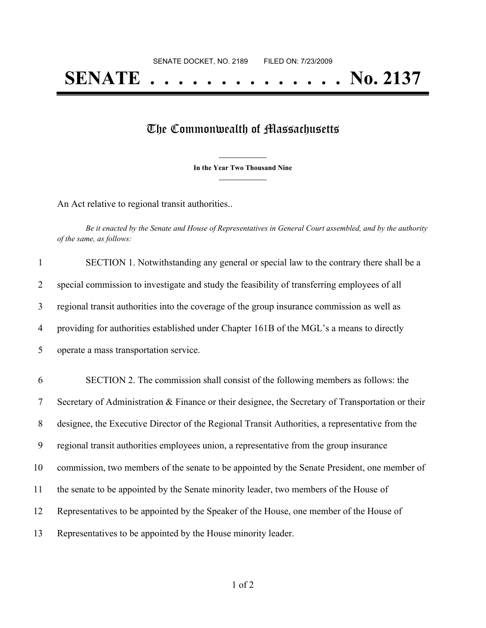## The Commonwealth of Massachusetts

**\_\_\_\_\_\_\_\_\_\_\_\_\_\_\_ In the Year Two Thousand Nine \_\_\_\_\_\_\_\_\_\_\_\_\_\_\_**

An Act relative to regional transit authorities..

Be it enacted by the Senate and House of Representatives in General Court assembled, and by the authority *of the same, as follows:*

| $\mathbf{1}$   | SECTION 1. Notwithstanding any general or special law to the contrary there shall be a            |
|----------------|---------------------------------------------------------------------------------------------------|
| $\overline{2}$ | special commission to investigate and study the feasibility of transferring employees of all      |
| 3              | regional transit authorities into the coverage of the group insurance commission as well as       |
| 4              | providing for authorities established under Chapter 161B of the MGL's a means to directly         |
| 5              | operate a mass transportation service.                                                            |
| 6              | SECTION 2. The commission shall consist of the following members as follows: the                  |
| $\tau$         | Secretary of Administration & Finance or their designee, the Secretary of Transportation or their |
| 8              | designee, the Executive Director of the Regional Transit Authorities, a representative from the   |
| 9              | regional transit authorities employees union, a representative from the group insurance           |
| 10             | commission, two members of the senate to be appointed by the Senate President, one member of      |
| 11             | the senate to be appointed by the Senate minority leader, two members of the House of             |
| 12             | Representatives to be appointed by the Speaker of the House, one member of the House of           |
| 13             | Representatives to be appointed by the House minority leader.                                     |